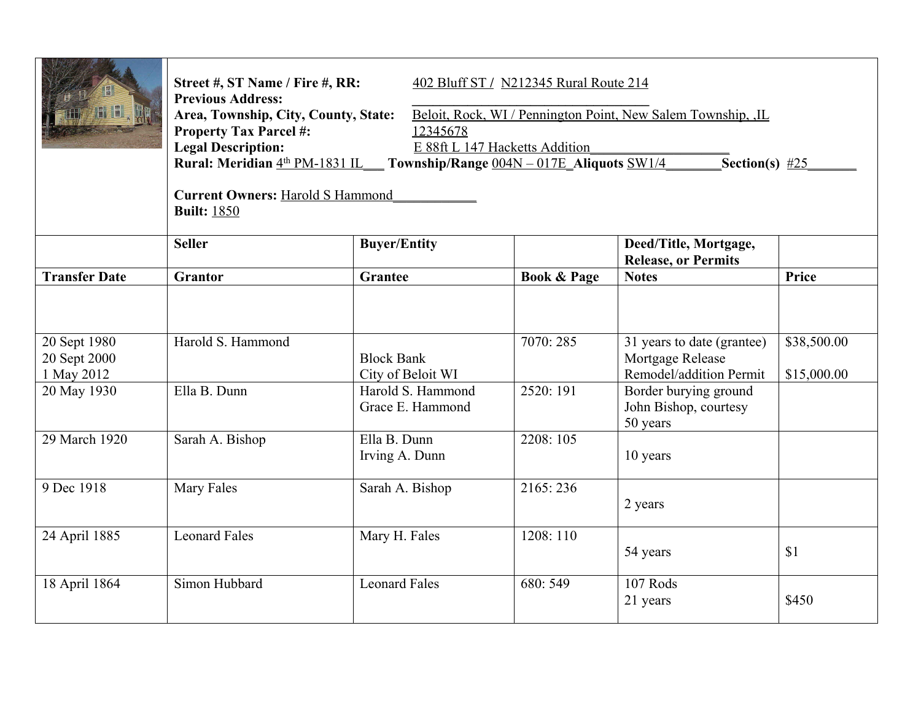|                                                           | Street #, ST Name / Fire #, RR:<br>402 Bluff ST / N212345 Rural Route 214<br><b>Previous Address:</b><br>Area, Township, City, County, State:<br>Beloit, Rock, WI / Pennington Point, New Salem Township, JL<br><b>Property Tax Parcel #:</b><br>12345678<br><b>Legal Description:</b><br>E 88ft L 147 Hacketts Addition<br>Rural: Meridian 4th PM-1831 IL Township/Range 004N - 017E Aliquots SW1/4<br>Section(s) $#25$<br><b>Current Owners: Harold S Hammond</b><br><b>Built: 1850</b> |                                                                                 |                        |                                                                                                                                         |                            |  |  |  |
|-----------------------------------------------------------|-------------------------------------------------------------------------------------------------------------------------------------------------------------------------------------------------------------------------------------------------------------------------------------------------------------------------------------------------------------------------------------------------------------------------------------------------------------------------------------------|---------------------------------------------------------------------------------|------------------------|-----------------------------------------------------------------------------------------------------------------------------------------|----------------------------|--|--|--|
|                                                           | <b>Seller</b>                                                                                                                                                                                                                                                                                                                                                                                                                                                                             | <b>Buyer/Entity</b>                                                             |                        | Deed/Title, Mortgage,<br><b>Release, or Permits</b>                                                                                     |                            |  |  |  |
| <b>Transfer Date</b>                                      | Grantor                                                                                                                                                                                                                                                                                                                                                                                                                                                                                   | Grantee                                                                         | <b>Book &amp; Page</b> | <b>Notes</b>                                                                                                                            | Price                      |  |  |  |
| 20 Sept 1980<br>20 Sept 2000<br>1 May 2012<br>20 May 1930 | Harold S. Hammond<br>Ella B. Dunn                                                                                                                                                                                                                                                                                                                                                                                                                                                         | <b>Block Bank</b><br>City of Beloit WI<br>Harold S. Hammond<br>Grace E. Hammond | 7070:285<br>2520: 191  | 31 years to date (grantee)<br>Mortgage Release<br>Remodel/addition Permit<br>Border burying ground<br>John Bishop, courtesy<br>50 years | \$38,500.00<br>\$15,000.00 |  |  |  |
| 29 March 1920                                             | Sarah A. Bishop                                                                                                                                                                                                                                                                                                                                                                                                                                                                           | Ella B. Dunn<br>Irving A. Dunn                                                  | 2208: 105              | 10 years                                                                                                                                |                            |  |  |  |
| 9 Dec 1918                                                | Mary Fales                                                                                                                                                                                                                                                                                                                                                                                                                                                                                | Sarah A. Bishop                                                                 | 2165:236               | 2 years                                                                                                                                 |                            |  |  |  |
| 24 April 1885                                             | <b>Leonard Fales</b>                                                                                                                                                                                                                                                                                                                                                                                                                                                                      | Mary H. Fales                                                                   | 1208: 110              | 54 years                                                                                                                                | \$1                        |  |  |  |
| 18 April 1864                                             | Simon Hubbard                                                                                                                                                                                                                                                                                                                                                                                                                                                                             | <b>Leonard Fales</b>                                                            | 680: 549               | 107 Rods<br>21 years                                                                                                                    | \$450                      |  |  |  |